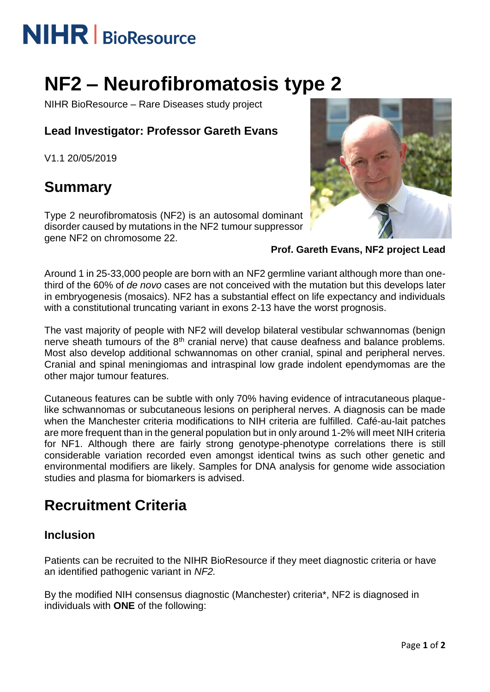# **NIHR** | BioResource

## **NF2 – Neurofibromatosis type 2**

NIHR BioResource – Rare Diseases study project

#### **Lead Investigator: Professor Gareth Evans**

V1.1 20/05/2019

### **Summary**

Type 2 neurofibromatosis (NF2) is an autosomal dominant disorder caused by mutations in the NF2 tumour suppressor gene NF2 on chromosome 22.



**Prof. Gareth Evans, NF2 project Lead**

Around 1 in 25-33,000 people are born with an NF2 germline variant although more than onethird of the 60% of *de novo* cases are not conceived with the mutation but this develops later in embryogenesis (mosaics). NF2 has a substantial effect on life expectancy and individuals with a constitutional truncating variant in exons 2-13 have the worst prognosis.

The vast majority of people with NF2 will develop bilateral vestibular schwannomas (benign nerve sheath tumours of the  $8<sup>th</sup>$  cranial nerve) that cause deafness and balance problems. Most also develop additional schwannomas on other cranial, spinal and peripheral nerves. Cranial and spinal meningiomas and intraspinal low grade indolent ependymomas are the other major tumour features.

Cutaneous features can be subtle with only 70% having evidence of intracutaneous plaquelike schwannomas or subcutaneous lesions on peripheral nerves. A diagnosis can be made when the Manchester criteria modifications to NIH criteria are fulfilled. Café-au-lait patches are more frequent than in the general population but in only around 1-2% will meet NIH criteria for NF1. Although there are fairly strong genotype-phenotype correlations there is still considerable variation recorded even amongst identical twins as such other genetic and environmental modifiers are likely. Samples for DNA analysis for genome wide association studies and plasma for biomarkers is advised.

### **Recruitment Criteria**

#### **Inclusion**

Patients can be recruited to the NIHR BioResource if they meet diagnostic criteria or have an identified pathogenic variant in *NF2.*

By the modified NIH consensus diagnostic (Manchester) criteria\*, NF2 is diagnosed in individuals with **ONE** of the following: